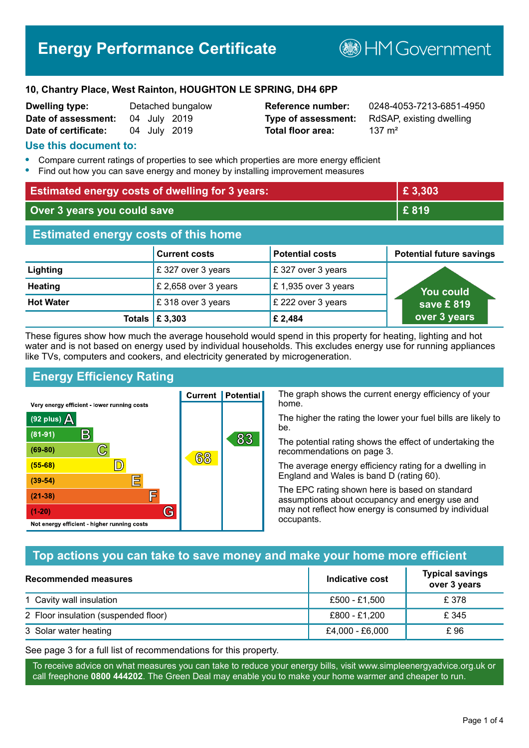# **Energy Performance Certificate**

**B**HMGovernment

#### **10, Chantry Place, West Rainton, HOUGHTON LE SPRING, DH4 6PP**

| <b>Dwelling type:</b> |              | Detached bungalov |
|-----------------------|--------------|-------------------|
| Date of assessment:   | 04 July 2019 |                   |
| Date of certificate:  | 04 July 2019 |                   |

# **Total floor area:** 137 m<sup>2</sup>

**Reference number:** 0248-4053-7213-6851-4950 **Type of assessment:** RdSAP, existing dwelling

#### **Use this document to:**

- **•** Compare current ratings of properties to see which properties are more energy efficient
- **•** Find out how you can save energy and money by installing improvement measures

| <b>Estimated energy costs of dwelling for 3 years:</b> |                                 |                        | £3,303                          |
|--------------------------------------------------------|---------------------------------|------------------------|---------------------------------|
| Over 3 years you could save                            |                                 |                        | £819                            |
| <b>Estimated energy costs of this home</b>             |                                 |                        |                                 |
|                                                        | <b>Current costs</b>            | <b>Potential costs</b> | <b>Potential future savings</b> |
| Lighting                                               | £ 327 over 3 years              | £327 over 3 years      |                                 |
| <b>Heating</b>                                         | £ 2,658 over 3 years            | £1,935 over 3 years    | <b>You could</b>                |
| <b>Hot Water</b>                                       | £318 over 3 years               | £ 222 over 3 years     | save £819                       |
|                                                        | Totals $\mathbf \epsilon$ 3,303 | £ 2,484                | over 3 years                    |

These figures show how much the average household would spend in this property for heating, lighting and hot water and is not based on energy used by individual households. This excludes energy use for running appliances like TVs, computers and cookers, and electricity generated by microgeneration.

**Current | Potential** 

68

# **Energy Efficiency Rating**

 $\mathbb{C}$ 

 $\mathbb{D}$ 

E

E

G

Very energy efficient - lower running costs

 $\mathsf{R}% _{T}$ 

Not energy efficient - higher running costs

(92 plus)  $\Delta$ 

 $(81 - 91)$ 

 $(69 - 80)$ 

 $(55-68)$ 

 $(39 - 54)$  $(21-38)$ 

 $(1-20)$ 

The graph shows the current energy efficiency of your home.

The higher the rating the lower your fuel bills are likely to be.

The potential rating shows the effect of undertaking the recommendations on page 3.

The average energy efficiency rating for a dwelling in England and Wales is band D (rating 60).

The EPC rating shown here is based on standard assumptions about occupancy and energy use and may not reflect how energy is consumed by individual occupants.

## **Top actions you can take to save money and make your home more efficient**

83

| Recommended measures                 | Indicative cost | <b>Typical savings</b><br>over 3 years |
|--------------------------------------|-----------------|----------------------------------------|
| 1 Cavity wall insulation             | £500 - £1.500   | £ 378                                  |
| 2 Floor insulation (suspended floor) | £800 - £1,200   | £ 345                                  |
| 3 Solar water heating                | £4,000 - £6,000 | £ 96                                   |

See page 3 for a full list of recommendations for this property.

To receive advice on what measures you can take to reduce your energy bills, visit www.simpleenergyadvice.org.uk or call freephone **0800 444202**. The Green Deal may enable you to make your home warmer and cheaper to run.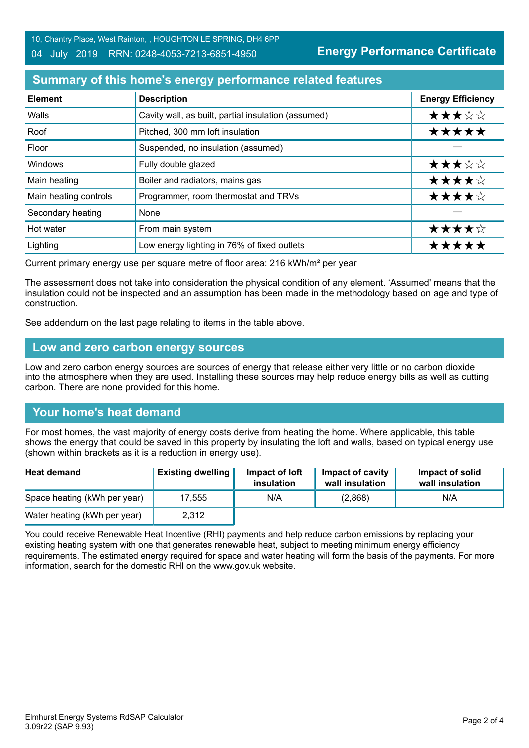#### 04 July 2019 RRN: 0248-4053-7213-6851-4950

**Energy Performance Certificate**

# **Summary of this home's energy performance related features**

| <b>Element</b>        | <b>Description</b>                                  | <b>Energy Efficiency</b> |
|-----------------------|-----------------------------------------------------|--------------------------|
| Walls                 | Cavity wall, as built, partial insulation (assumed) | ★★★☆☆                    |
| Roof                  | Pitched, 300 mm loft insulation                     | *****                    |
| Floor                 | Suspended, no insulation (assumed)                  |                          |
| Windows               | Fully double glazed                                 | ★★★☆☆                    |
| Main heating          | Boiler and radiators, mains gas                     | ★★★★☆                    |
| Main heating controls | Programmer, room thermostat and TRVs                | ★★★★☆                    |
| Secondary heating     | None                                                |                          |
| Hot water             | From main system                                    | ★★★★☆                    |
| Lighting              | Low energy lighting in 76% of fixed outlets         | ****                     |

Current primary energy use per square metre of floor area: 216 kWh/m² per year

The assessment does not take into consideration the physical condition of any element. 'Assumed' means that the insulation could not be inspected and an assumption has been made in the methodology based on age and type of construction.

See addendum on the last page relating to items in the table above.

#### **Low and zero carbon energy sources**

Low and zero carbon energy sources are sources of energy that release either very little or no carbon dioxide into the atmosphere when they are used. Installing these sources may help reduce energy bills as well as cutting carbon. There are none provided for this home.

## **Your home's heat demand**

For most homes, the vast majority of energy costs derive from heating the home. Where applicable, this table shows the energy that could be saved in this property by insulating the loft and walls, based on typical energy use (shown within brackets as it is a reduction in energy use).

| <b>Heat demand</b>           | <b>Existing dwelling</b> | Impact of loft<br>insulation | Impact of cavity<br>wall insulation | Impact of solid<br>wall insulation |
|------------------------------|--------------------------|------------------------------|-------------------------------------|------------------------------------|
| Space heating (kWh per year) | 17.555                   | N/A                          | (2,868)                             | N/A                                |
| Water heating (kWh per year) | 2,312                    |                              |                                     |                                    |

You could receive Renewable Heat Incentive (RHI) payments and help reduce carbon emissions by replacing your existing heating system with one that generates renewable heat, subject to meeting minimum energy efficiency requirements. The estimated energy required for space and water heating will form the basis of the payments. For more information, search for the domestic RHI on the www.gov.uk website.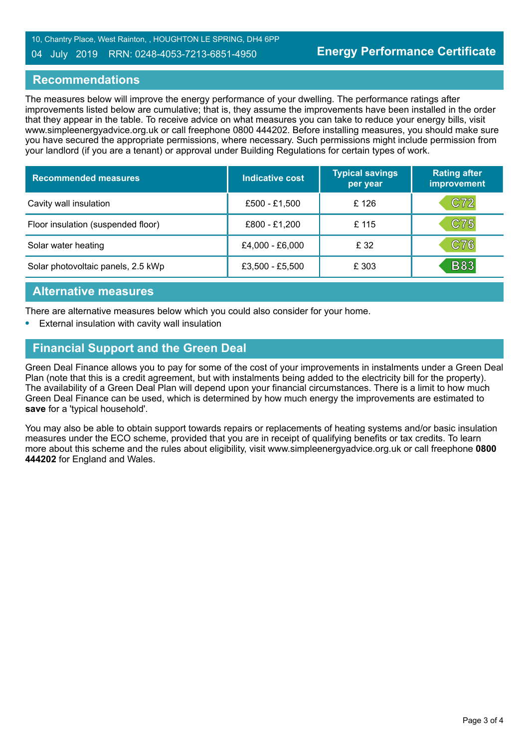#### 04 July 2019 RRN: 0248-4053-7213-6851-4950

#### **Recommendations**

The measures below will improve the energy performance of your dwelling. The performance ratings after improvements listed below are cumulative; that is, they assume the improvements have been installed in the order that they appear in the table. To receive advice on what measures you can take to reduce your energy bills, visit www.simpleenergyadvice.org.uk or call freephone 0800 444202. Before installing measures, you should make sure you have secured the appropriate permissions, where necessary. Such permissions might include permission from your landlord (if you are a tenant) or approval under Building Regulations for certain types of work.

| <b>Recommended measures</b>        | <b>Indicative cost</b> | <b>Typical savings</b><br>per year | <b>Rating after</b><br>improvement |
|------------------------------------|------------------------|------------------------------------|------------------------------------|
| Cavity wall insulation             | £500 - £1,500          | £126                               | C72                                |
| Floor insulation (suspended floor) | £800 - £1,200          | £115                               | C75                                |
| Solar water heating                | £4,000 - £6,000        | £32                                | C76                                |
| Solar photovoltaic panels, 2.5 kWp | £3,500 - £5,500        | £ 303                              | <b>B83</b>                         |

#### **Alternative measures**

There are alternative measures below which you could also consider for your home.

**•** External insulation with cavity wall insulation

## **Financial Support and the Green Deal**

Green Deal Finance allows you to pay for some of the cost of your improvements in instalments under a Green Deal Plan (note that this is a credit agreement, but with instalments being added to the electricity bill for the property). The availability of a Green Deal Plan will depend upon your financial circumstances. There is a limit to how much Green Deal Finance can be used, which is determined by how much energy the improvements are estimated to **save** for a 'typical household'.

You may also be able to obtain support towards repairs or replacements of heating systems and/or basic insulation measures under the ECO scheme, provided that you are in receipt of qualifying benefits or tax credits. To learn more about this scheme and the rules about eligibility, visit www.simpleenergyadvice.org.uk or call freephone **0800 444202** for England and Wales.